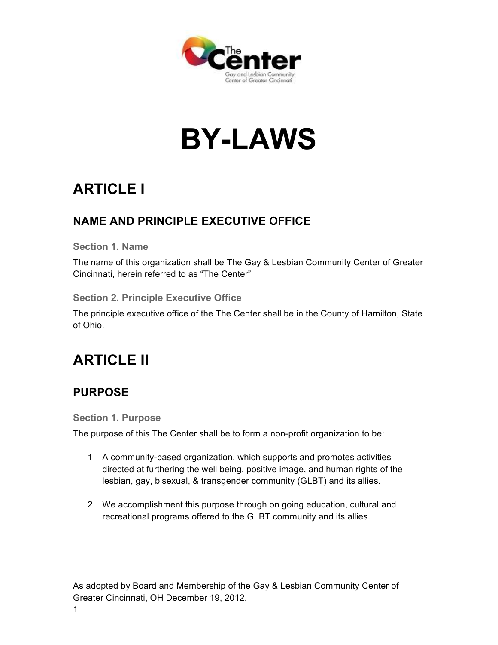

# **BY-LAWS**

# **ARTICLE I**

### **NAME AND PRINCIPLE EXECUTIVE OFFICE**

**Section 1. Name** 

The name of this organization shall be The Gay & Lesbian Community Center of Greater Cincinnati, herein referred to as "The Center"

**Section 2. Principle Executive Office**

The principle executive office of the The Center shall be in the County of Hamilton, State of Ohio.

# **ARTICLE II**

### **PURPOSE**

**Section 1. Purpose**

The purpose of this The Center shall be to form a non-profit organization to be:

- 1 A community-based organization, which supports and promotes activities directed at furthering the well being, positive image, and human rights of the lesbian, gay, bisexual, & transgender community (GLBT) and its allies.
- 2 We accomplishment this purpose through on going education, cultural and recreational programs offered to the GLBT community and its allies.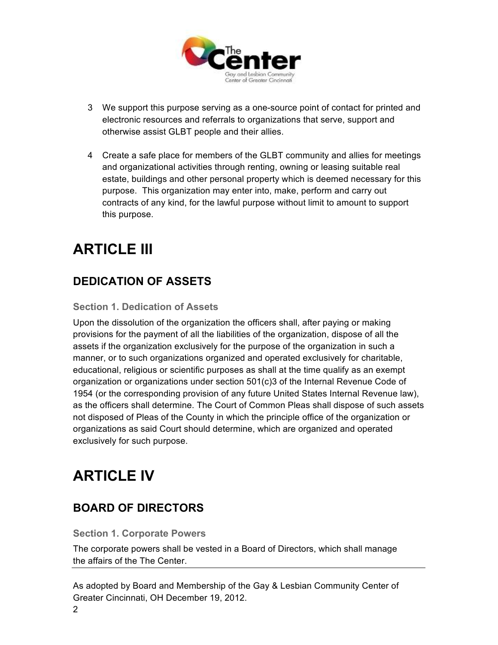

- 3 We support this purpose serving as a one-source point of contact for printed and electronic resources and referrals to organizations that serve, support and otherwise assist GLBT people and their allies.
- 4 Create a safe place for members of the GLBT community and allies for meetings and organizational activities through renting, owning or leasing suitable real estate, buildings and other personal property which is deemed necessary for this purpose. This organization may enter into, make, perform and carry out contracts of any kind, for the lawful purpose without limit to amount to support this purpose.

# **ARTICLE III**

### **DEDICATION OF ASSETS**

#### **Section 1. Dedication of Assets**

Upon the dissolution of the organization the officers shall, after paying or making provisions for the payment of all the liabilities of the organization, dispose of all the assets if the organization exclusively for the purpose of the organization in such a manner, or to such organizations organized and operated exclusively for charitable, educational, religious or scientific purposes as shall at the time qualify as an exempt organization or organizations under section 501(c)3 of the Internal Revenue Code of 1954 (or the corresponding provision of any future United States Internal Revenue law), as the officers shall determine. The Court of Common Pleas shall dispose of such assets not disposed of Pleas of the County in which the principle office of the organization or organizations as said Court should determine, which are organized and operated exclusively for such purpose.

# **ARTICLE IV**

### **BOARD OF DIRECTORS**

#### **Section 1. Corporate Powers**

The corporate powers shall be vested in a Board of Directors, which shall manage the affairs of the The Center.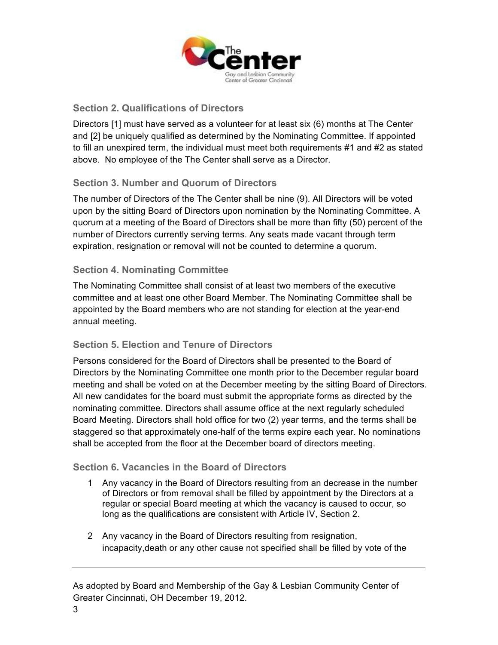

#### **Section 2. Qualifications of Directors**

Directors [1] must have served as a volunteer for at least six (6) months at The Center and [2] be uniquely qualified as determined by the Nominating Committee. If appointed to fill an unexpired term, the individual must meet both requirements #1 and #2 as stated above. No employee of the The Center shall serve as a Director.

#### **Section 3. Number and Quorum of Directors**

The number of Directors of the The Center shall be nine (9). All Directors will be voted upon by the sitting Board of Directors upon nomination by the Nominating Committee. A quorum at a meeting of the Board of Directors shall be more than fifty (50) percent of the number of Directors currently serving terms. Any seats made vacant through term expiration, resignation or removal will not be counted to determine a quorum.

#### **Section 4. Nominating Committee**

The Nominating Committee shall consist of at least two members of the executive committee and at least one other Board Member. The Nominating Committee shall be appointed by the Board members who are not standing for election at the year-end annual meeting.

#### **Section 5. Election and Tenure of Directors**

Persons considered for the Board of Directors shall be presented to the Board of Directors by the Nominating Committee one month prior to the December regular board meeting and shall be voted on at the December meeting by the sitting Board of Directors. All new candidates for the board must submit the appropriate forms as directed by the nominating committee. Directors shall assume office at the next regularly scheduled Board Meeting. Directors shall hold office for two (2) year terms, and the terms shall be staggered so that approximately one-half of the terms expire each year. No nominations shall be accepted from the floor at the December board of directors meeting.

#### **Section 6. Vacancies in the Board of Directors**

- 1 Any vacancy in the Board of Directors resulting from an decrease in the number of Directors or from removal shall be filled by appointment by the Directors at a regular or special Board meeting at which the vacancy is caused to occur, so long as the qualifications are consistent with Article IV, Section 2.
- 2 Any vacancy in the Board of Directors resulting from resignation, incapacity,death or any other cause not specified shall be filled by vote of the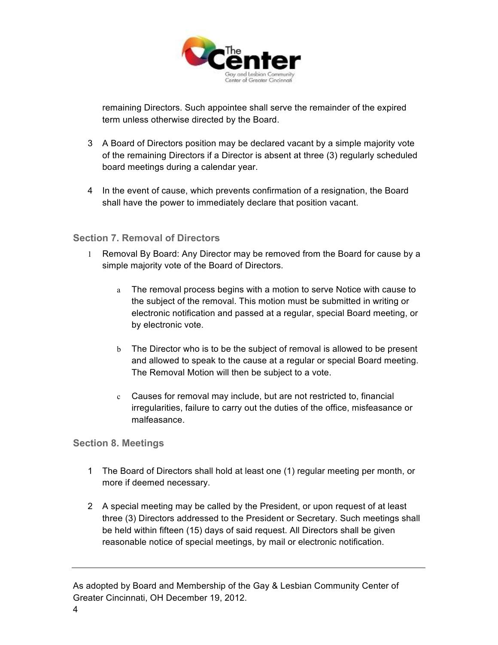

remaining Directors. Such appointee shall serve the remainder of the expired term unless otherwise directed by the Board.

- 3 A Board of Directors position may be declared vacant by a simple majority vote of the remaining Directors if a Director is absent at three (3) regularly scheduled board meetings during a calendar year.
- 4 In the event of cause, which prevents confirmation of a resignation, the Board shall have the power to immediately declare that position vacant.

#### **Section 7. Removal of Directors**

- 1 Removal By Board: Any Director may be removed from the Board for cause by a simple majority vote of the Board of Directors.
	- a The removal process begins with a motion to serve Notice with cause to the subject of the removal. This motion must be submitted in writing or electronic notification and passed at a regular, special Board meeting, or by electronic vote.
	- b The Director who is to be the subject of removal is allowed to be present and allowed to speak to the cause at a regular or special Board meeting. The Removal Motion will then be subject to a vote.
	- c Causes for removal may include, but are not restricted to, financial irregularities, failure to carry out the duties of the office, misfeasance or malfeasance.

#### **Section 8. Meetings**

- 1 The Board of Directors shall hold at least one (1) regular meeting per month, or more if deemed necessary.
- 2 A special meeting may be called by the President, or upon request of at least three (3) Directors addressed to the President or Secretary. Such meetings shall be held within fifteen (15) days of said request. All Directors shall be given reasonable notice of special meetings, by mail or electronic notification.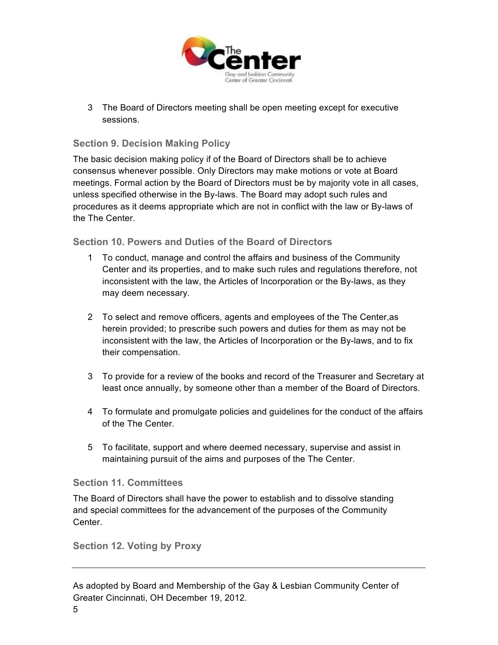

3 The Board of Directors meeting shall be open meeting except for executive sessions.

#### **Section 9. Decision Making Policy**

The basic decision making policy if of the Board of Directors shall be to achieve consensus whenever possible. Only Directors may make motions or vote at Board meetings. Formal action by the Board of Directors must be by majority vote in all cases, unless specified otherwise in the By-laws. The Board may adopt such rules and procedures as it deems appropriate which are not in conflict with the law or By-laws of the The Center.

#### **Section 10. Powers and Duties of the Board of Directors**

- 1 To conduct, manage and control the affairs and business of the Community Center and its properties, and to make such rules and regulations therefore, not inconsistent with the law, the Articles of Incorporation or the By-laws, as they may deem necessary.
- 2 To select and remove officers, agents and employees of the The Center,as herein provided; to prescribe such powers and duties for them as may not be inconsistent with the law, the Articles of Incorporation or the By-laws, and to fix their compensation.
- 3 To provide for a review of the books and record of the Treasurer and Secretary at least once annually, by someone other than a member of the Board of Directors.
- 4 To formulate and promulgate policies and guidelines for the conduct of the affairs of the The Center.
- 5 To facilitate, support and where deemed necessary, supervise and assist in maintaining pursuit of the aims and purposes of the The Center.

#### **Section 11. Committees**

The Board of Directors shall have the power to establish and to dissolve standing and special committees for the advancement of the purposes of the Community Center.

#### **Section 12. Voting by Proxy**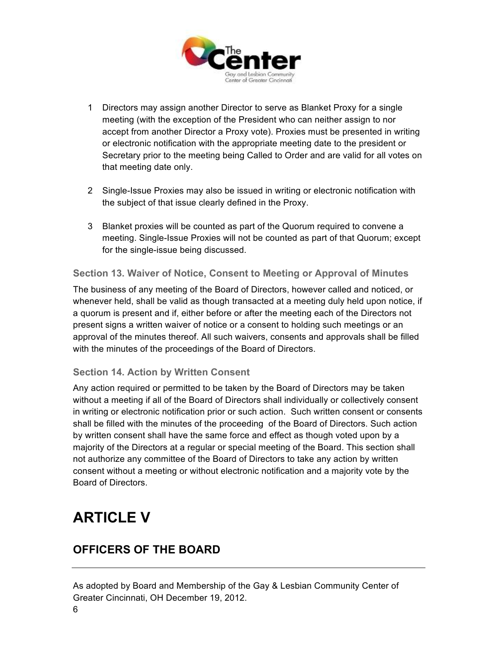

- 1 Directors may assign another Director to serve as Blanket Proxy for a single meeting (with the exception of the President who can neither assign to nor accept from another Director a Proxy vote). Proxies must be presented in writing or electronic notification with the appropriate meeting date to the president or Secretary prior to the meeting being Called to Order and are valid for all votes on that meeting date only.
- 2 Single-Issue Proxies may also be issued in writing or electronic notification with the subject of that issue clearly defined in the Proxy.
- 3 Blanket proxies will be counted as part of the Quorum required to convene a meeting. Single-Issue Proxies will not be counted as part of that Quorum; except for the single-issue being discussed.

#### **Section 13. Waiver of Notice, Consent to Meeting or Approval of Minutes**

The business of any meeting of the Board of Directors, however called and noticed, or whenever held, shall be valid as though transacted at a meeting duly held upon notice, if a quorum is present and if, either before or after the meeting each of the Directors not present signs a written waiver of notice or a consent to holding such meetings or an approval of the minutes thereof. All such waivers, consents and approvals shall be filled with the minutes of the proceedings of the Board of Directors.

#### **Section 14. Action by Written Consent**

Any action required or permitted to be taken by the Board of Directors may be taken without a meeting if all of the Board of Directors shall individually or collectively consent in writing or electronic notification prior or such action. Such written consent or consents shall be filled with the minutes of the proceeding of the Board of Directors. Such action by written consent shall have the same force and effect as though voted upon by a majority of the Directors at a regular or special meeting of the Board. This section shall not authorize any committee of the Board of Directors to take any action by written consent without a meeting or without electronic notification and a majority vote by the Board of Directors.

## **ARTICLE V**

### **OFFICERS OF THE BOARD**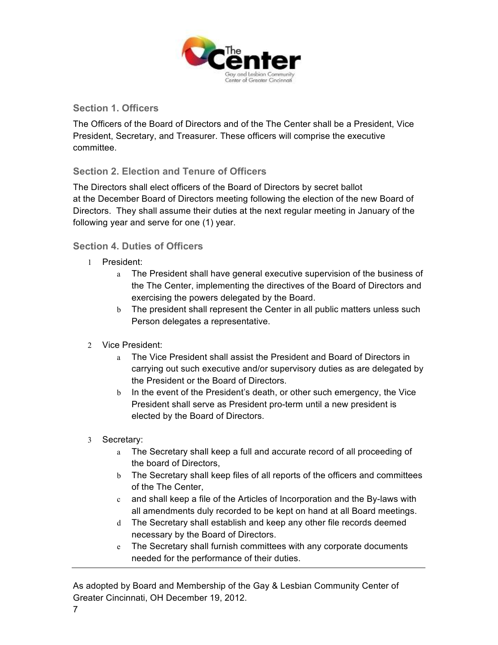

#### **Section 1. Officers**

The Officers of the Board of Directors and of the The Center shall be a President, Vice President, Secretary, and Treasurer. These officers will comprise the executive committee.

#### **Section 2. Election and Tenure of Officers**

The Directors shall elect officers of the Board of Directors by secret ballot at the December Board of Directors meeting following the election of the new Board of Directors. They shall assume their duties at the next regular meeting in January of the following year and serve for one (1) year.

#### **Section 4. Duties of Officers**

- 1 President:
	- a The President shall have general executive supervision of the business of the The Center, implementing the directives of the Board of Directors and exercising the powers delegated by the Board.
	- b The president shall represent the Center in all public matters unless such Person delegates a representative.
- 2 Vice President:
	- a The Vice President shall assist the President and Board of Directors in carrying out such executive and/or supervisory duties as are delegated by the President or the Board of Directors.
	- b In the event of the President's death, or other such emergency, the Vice President shall serve as President pro-term until a new president is elected by the Board of Directors.
- 3 Secretary:
	- a The Secretary shall keep a full and accurate record of all proceeding of the board of Directors,
	- b The Secretary shall keep files of all reports of the officers and committees of the The Center,
	- c and shall keep a file of the Articles of Incorporation and the By-laws with all amendments duly recorded to be kept on hand at all Board meetings.
	- d The Secretary shall establish and keep any other file records deemed necessary by the Board of Directors.
	- e The Secretary shall furnish committees with any corporate documents needed for the performance of their duties.